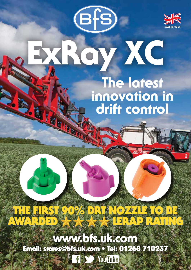

## Ray XC The latest REAL A innovation in drift control

EfS)

www.bfs.uk.com Email: stores@bfs.uk.com • Tel: 01268 710237 FISSING You Tube

TRST 90% DRT NOZZLE TO

awarded lerap RATION